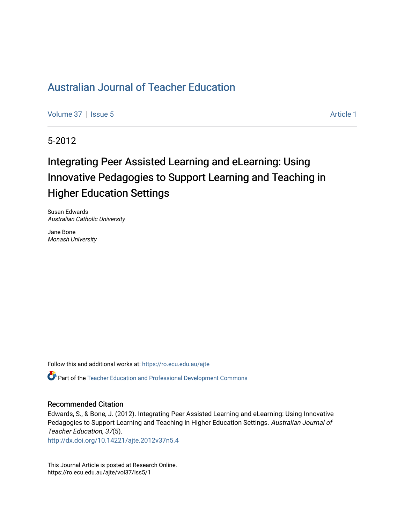[Volume 37](https://ro.ecu.edu.au/ajte/vol37) | [Issue 5](https://ro.ecu.edu.au/ajte/vol37/iss5) Article 1

5-2012

# Integrating Peer Assisted Learning and eLearning: Using Innovative Pedagogies to Support Learning and Teaching in Higher Education Settings

Susan Edwards Australian Catholic University

Jane Bone Monash University

Follow this and additional works at: [https://ro.ecu.edu.au/ajte](https://ro.ecu.edu.au/ajte?utm_source=ro.ecu.edu.au%2Fajte%2Fvol37%2Fiss5%2F1&utm_medium=PDF&utm_campaign=PDFCoverPages) 

Part of the [Teacher Education and Professional Development Commons](http://network.bepress.com/hgg/discipline/803?utm_source=ro.ecu.edu.au%2Fajte%2Fvol37%2Fiss5%2F1&utm_medium=PDF&utm_campaign=PDFCoverPages)

#### Recommended Citation

Edwards, S., & Bone, J. (2012). Integrating Peer Assisted Learning and eLearning: Using Innovative Pedagogies to Support Learning and Teaching in Higher Education Settings. Australian Journal of Teacher Education, 37(5).

<http://dx.doi.org/10.14221/ajte.2012v37n5.4>

This Journal Article is posted at Research Online. https://ro.ecu.edu.au/ajte/vol37/iss5/1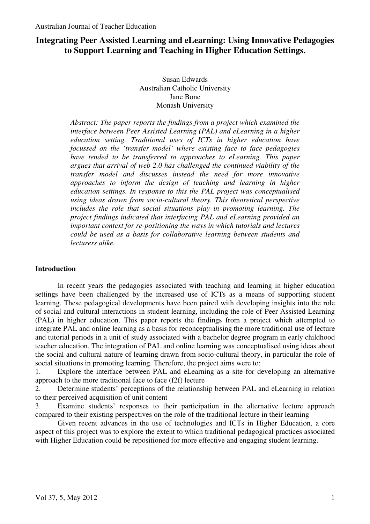# **Integrating Peer Assisted Learning and eLearning: Using Innovative Pedagogies to Support Learning and Teaching in Higher Education Settings.**

Susan Edwards Australian Catholic University Jane Bone Monash University

*Abstract: The paper reports the findings from a project which examined the interface between Peer Assisted Learning (PAL) and eLearning in a higher education setting. Traditional uses of ICTs in higher education have focussed on the 'transfer model' where existing face to face pedagogies have tended to be transferred to approaches to eLearning. This paper argues that arrival of web 2.0 has challenged the continued viability of the transfer model and discusses instead the need for more innovative approaches to inform the design of teaching and learning in higher education settings. In response to this the PAL project was conceptualised using ideas drawn from socio-cultural theory. This theoretical perspective includes the role that social situations play in promoting learning. The project findings indicated that interfacing PAL and eLearning provided an important context for re-positioning the ways in which tutorials and lectures could be used as a basis for collaborative learning between students and lecturers alike.* 

# **Introduction**

In recent years the pedagogies associated with teaching and learning in higher education settings have been challenged by the increased use of ICTs as a means of supporting student learning. These pedagogical developments have been paired with developing insights into the role of social and cultural interactions in student learning, including the role of Peer Assisted Learning (PAL) in higher education. This paper reports the findings from a project which attempted to integrate PAL and online learning as a basis for reconceptualising the more traditional use of lecture and tutorial periods in a unit of study associated with a bachelor degree program in early childhood teacher education. The integration of PAL and online learning was conceptualised using ideas about the social and cultural nature of learning drawn from socio-cultural theory, in particular the role of social situations in promoting learning. Therefore, the project aims were to:

1. Explore the interface between PAL and eLearning as a site for developing an alternative approach to the more traditional face to face (f2f) lecture

2. Determine students' perceptions of the relationship between PAL and eLearning in relation to their perceived acquisition of unit content

3. Examine students' responses to their participation in the alternative lecture approach compared to their existing perspectives on the role of the traditional lecture in their learning

Given recent advances in the use of technologies and ICTs in Higher Education, a core aspect of this project was to explore the extent to which traditional pedagogical practices associated with Higher Education could be repositioned for more effective and engaging student learning.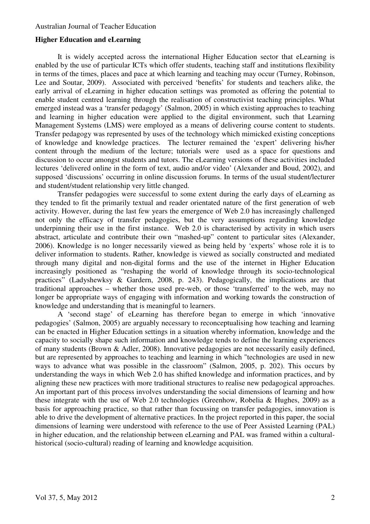# **Higher Education and eLearning**

It is widely accepted across the international Higher Education sector that eLearning is enabled by the use of particular ICTs which offer students, teaching staff and institutions flexibility in terms of the times, places and pace at which learning and teaching may occur (Turney, Robinson, Lee and Soutar, 2009). Associated with perceived 'benefits' for students and teachers alike, the early arrival of eLearning in higher education settings was promoted as offering the potential to enable student centred learning through the realisation of constructivist teaching principles. What emerged instead was a 'transfer pedagogy' (Salmon, 2005) in which existing approaches to teaching and learning in higher education were applied to the digital environment, such that Learning Management Systems (LMS) were employed as a means of delivering course content to students. Transfer pedagogy was represented by uses of the technology which mimicked existing conceptions of knowledge and knowledge practices. The lecturer remained the 'expert' delivering his/her content through the medium of the lecture; tutorials were used as a space for questions and discussion to occur amongst students and tutors. The eLearning versions of these activities included lectures 'delivered online in the form of text, audio and/or video' (Alexander and Boud, 2002), and supposed 'discussions' occurring in online discussion forums. In terms of the usual student/lecturer and student/student relationship very little changed.

Transfer pedagogies were successful to some extent during the early days of eLearning as they tended to fit the primarily textual and reader orientated nature of the first generation of web activity. However, during the last few years the emergence of Web 2.0 has increasingly challenged not only the efficacy of transfer pedagogies, but the very assumptions regarding knowledge underpinning their use in the first instance. Web 2.0 is characterised by activity in which users abstract, articulate and contribute their own "mashed-up" content to particular sites (Alexander, 2006). Knowledge is no longer necessarily viewed as being held by 'experts' whose role it is to deliver information to students. Rather, knowledge is viewed as socially constructed and mediated through many digital and non-digital forms and the use of the internet in Higher Education increasingly positioned as "reshaping the world of knowledge through its socio-technological practices" (Ladyshewksy & Gardern, 2008, p. 243). Pedagogically, the implications are that traditional approaches – whether those used pre-web, or those 'transferred' to the web, may no longer be appropriate ways of engaging with information and working towards the construction of knowledge and understanding that is meaningful to learners.

A 'second stage' of eLearning has therefore began to emerge in which 'innovative pedagogies' (Salmon, 2005) are arguably necessary to reconceptualising how teaching and learning can be enacted in Higher Education settings in a situation whereby information, knowledge and the capacity to socially shape such information and knowledge tends to define the learning experiences of many students (Brown & Adler, 2008). Innovative pedagogies are not necessarily easily defined, but are represented by approaches to teaching and learning in which "technologies are used in new ways to advance what was possible in the classroom" (Salmon, 2005, p. 202). This occurs by understanding the ways in which Web 2.0 has shifted knowledge and information practices, and by aligning these new practices with more traditional structures to realise new pedagogical approaches. An important part of this process involves understanding the social dimensions of learning and how these integrate with the use of Web 2.0 technologies (Greenhow, Robelia & Hughes, 2009) as a basis for approaching practice, so that rather than focussing on transfer pedagogies, innovation is able to drive the development of alternative practices. In the project reported in this paper, the social dimensions of learning were understood with reference to the use of Peer Assisted Learning (PAL) in higher education, and the relationship between eLearning and PAL was framed within a culturalhistorical (socio-cultural) reading of learning and knowledge acquisition.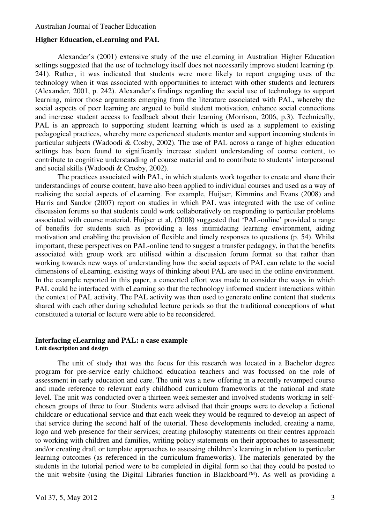# **Higher Education, eLearning and PAL**

Alexander's (2001) extensive study of the use eLearning in Australian Higher Education settings suggested that the use of technology itself does not necessarily improve student learning (p. 241). Rather, it was indicated that students were more likely to report engaging uses of the technology when it was associated with opportunities to interact with other students and lecturers (Alexander, 2001, p. 242). Alexander's findings regarding the social use of technology to support learning, mirror those arguments emerging from the literature associated with PAL, whereby the social aspects of peer learning are argued to build student motivation, enhance social connections and increase student access to feedback about their learning (Morrison, 2006, p.3). Technically, PAL is an approach to supporting student learning which is used as a supplement to existing pedagogical practices, whereby more experienced students mentor and support incoming students in particular subjects (Wadoodi & Cosby, 2002). The use of PAL across a range of higher education settings has been found to significantly increase student understanding of course content, to contribute to cognitive understanding of course material and to contribute to students' interpersonal and social skills (Wadoodi & Crosby, 2002).

The practices associated with PAL, in which students work together to create and share their understandings of course content, have also been applied to individual courses and used as a way of realising the social aspects of eLearning. For example, Huijser, Kimmins and Evans (2008) and Harris and Sandor (2007) report on studies in which PAL was integrated with the use of online discussion forums so that students could work collaboratively on responding to particular problems associated with course material. Huijser et al, (2008) suggested that 'PAL-online' provided a range of benefits for students such as providing a less intimidating learning environment, aiding motivation and enabling the provision of flexible and timely responses to questions (p. 54). Whilst important, these perspectives on PAL-online tend to suggest a transfer pedagogy, in that the benefits associated with group work are utilised within a discussion forum format so that rather than working towards new ways of understanding how the social aspects of PAL can relate to the social dimensions of eLearning, existing ways of thinking about PAL are used in the online environment. In the example reported in this paper, a concerted effort was made to consider the ways in which PAL could be interfaced with eLearning so that the technology informed student interactions within the context of PAL activity. The PAL activity was then used to generate online content that students shared with each other during scheduled lecture periods so that the traditional conceptions of what constituted a tutorial or lecture were able to be reconsidered.

## **Interfacing eLearning and PAL: a case example Unit description and design**

The unit of study that was the focus for this research was located in a Bachelor degree program for pre-service early childhood education teachers and was focussed on the role of assessment in early education and care. The unit was a new offering in a recently revamped course and made reference to relevant early childhood curriculum frameworks at the national and state level. The unit was conducted over a thirteen week semester and involved students working in selfchosen groups of three to four. Students were advised that their groups were to develop a fictional childcare or educational service and that each week they would be required to develop an aspect of that service during the second half of the tutorial. These developments included, creating a name, logo and web presence for their services; creating philosophy statements on their centres approach to working with children and families, writing policy statements on their approaches to assessment; and/or creating draft or template approaches to assessing children's learning in relation to particular learning outcomes (as referenced in the curriculum frameworks). The materials generated by the students in the tutorial period were to be completed in digital form so that they could be posted to the unit website (using the Digital Libraries function in Blackboard™). As well as providing a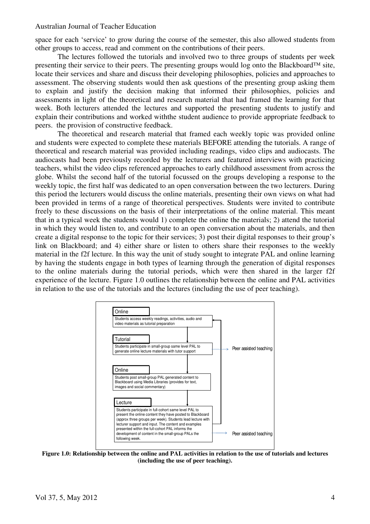space for each 'service' to grow during the course of the semester, this also allowed students from other groups to access, read and comment on the contributions of their peers.

The lectures followed the tutorials and involved two to three groups of students per week presenting their service to their peers. The presenting groups would log onto the Blackboard™ site, locate their services and share and discuss their developing philosophies, policies and approaches to assessment. The observing students would then ask questions of the presenting group asking them to explain and justify the decision making that informed their philosophies, policies and assessments in light of the theoretical and research material that had framed the learning for that week. Both lecturers attended the lectures and supported the presenting students to justify and explain their contributions and worked withthe student audience to provide appropriate feedback to peers. the provision of constructive feedback.

The theoretical and research material that framed each weekly topic was provided online and students were expected to complete these materials BEFORE attending the tutorials. A range of theoretical and research material was provided including readings, video clips and audiocasts. The audiocasts had been previously recorded by the lecturers and featured interviews with practicing teachers, whilst the video clips referenced approaches to early childhood assessment from across the globe. Whilst the second half of the tutorial focussed on the groups developing a response to the weekly topic, the first half was dedicated to an open conversation between the two lecturers. During this period the lecturers would discuss the online materials, presenting their own views on what had been provided in terms of a range of theoretical perspectives. Students were invited to contribute freely to these discussions on the basis of their interpretations of the online material. This meant that in a typical week the students would 1) complete the online the materials; 2) attend the tutorial in which they would listen to, and contribute to an open conversation about the materials, and then create a digital response to the topic for their services; 3) post their digital responses to their group's link on Blackboard; and 4) either share or listen to others share their responses to the weekly material in the f2f lecture. In this way the unit of study sought to integrate PAL and online learning by having the students engage in both types of learning through the generation of digital responses to the online materials during the tutorial periods, which were then shared in the larger f2f experience of the lecture. Figure 1.0 outlines the relationship between the online and PAL activities in relation to the use of the tutorials and the lectures (including the use of peer teaching).



**Figure 1.0: Relationship between the online and PAL activities in relation to the use of tutorials and lectures (including the use of peer teaching).**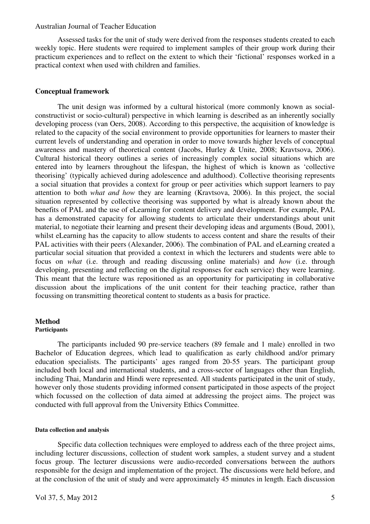Assessed tasks for the unit of study were derived from the responses students created to each weekly topic. Here students were required to implement samples of their group work during their practicum experiences and to reflect on the extent to which their 'fictional' responses worked in a practical context when used with children and families.

## **Conceptual framework**

The unit design was informed by a cultural historical (more commonly known as socialconstructivist or socio-cultural) perspective in which learning is described as an inherently socially developing process (van Oers, 2008). According to this perspective, the acquisition of knowledge is related to the capacity of the social environment to provide opportunities for learners to master their current levels of understanding and operation in order to move towards higher levels of conceptual awareness and mastery of theoretical content (Jacobs, Hurley & Unite, 2008; Kravtsova, 2006). Cultural historical theory outlines a series of increasingly complex social situations which are entered into by learners throughout the lifespan, the highest of which is known as 'collective theorising' (typically achieved during adolescence and adulthood). Collective theorising represents a social situation that provides a context for group or peer activities which support learners to pay attention to both *what and how* they are learning (Kravtsova, 2006). In this project, the social situation represented by collective theorising was supported by what is already known about the benefits of PAL and the use of eLearning for content delivery and development. For example, PAL has a demonstrated capacity for allowing students to articulate their understandings about unit material, to negotiate their learning and present their developing ideas and arguments (Boud, 2001), whilst eLearning has the capacity to allow students to access content and share the results of their PAL activities with their peers (Alexander, 2006). The combination of PAL and eLearning created a particular social situation that provided a context in which the lecturers and students were able to focus on *what* (i.e. through and reading discussing online materials) and *how* (i.e. through developing, presenting and reflecting on the digital responses for each service) they were learning. This meant that the lecture was repositioned as an opportunity for participating in collaborative discussion about the implications of the unit content for their teaching practice, rather than focussing on transmitting theoretical content to students as a basis for practice.

#### **Method Participants**

The participants included 90 pre-service teachers (89 female and 1 male) enrolled in two Bachelor of Education degrees, which lead to qualification as early childhood and/or primary education specialists. The participants' ages ranged from 20-55 years. The participant group included both local and international students, and a cross-sector of languages other than English, including Thai, Mandarin and Hindi were represented. All students participated in the unit of study, however only those students providing informed consent participated in those aspects of the project which focussed on the collection of data aimed at addressing the project aims. The project was conducted with full approval from the University Ethics Committee.

## **Data collection and analysis**

Specific data collection techniques were employed to address each of the three project aims, including lecturer discussions, collection of student work samples, a student survey and a student focus group. The lecturer discussions were audio-recorded conversations between the authors responsible for the design and implementation of the project. The discussions were held before, and at the conclusion of the unit of study and were approximately 45 minutes in length. Each discussion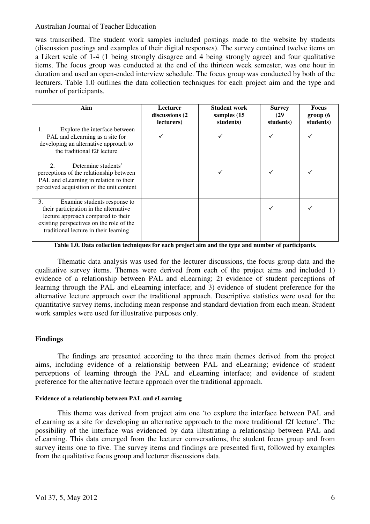was transcribed. The student work samples included postings made to the website by students (discussion postings and examples of their digital responses). The survey contained twelve items on a Likert scale of 1-4 (1 being strongly disagree and 4 being strongly agree) and four qualitative items. The focus group was conducted at the end of the thirteen week semester, was one hour in duration and used an open-ended interview schedule. The focus group was conducted by both of the lecturers. Table 1.0 outlines the data collection techniques for each project aim and the type and number of participants.

| Aim                                                                                                                                                                                                     | <b>Lecturer</b><br>discussions (2)<br>lecturers) | Student work<br>samples (15<br>students) | <b>Survey</b><br>(29)<br>students) | <b>Focus</b><br>group(6)<br>students) |
|---------------------------------------------------------------------------------------------------------------------------------------------------------------------------------------------------------|--------------------------------------------------|------------------------------------------|------------------------------------|---------------------------------------|
| Explore the interface between<br>PAL and eLearning as a site for<br>developing an alternative approach to<br>the traditional f2f lecture                                                                |                                                  |                                          |                                    |                                       |
| Determine students'<br>$\mathcal{D}_{\mathcal{L}}$<br>perceptions of the relationship between<br>PAL and eLearning in relation to their<br>perceived acquisition of the unit content                    |                                                  |                                          |                                    |                                       |
| 3.<br>Examine students response to<br>their participation in the alternative<br>lecture approach compared to their<br>existing perspectives on the role of the<br>traditional lecture in their learning |                                                  |                                          |                                    |                                       |

**Table 1.0. Data collection techniques for each project aim and the type and number of participants.** 

Thematic data analysis was used for the lecturer discussions, the focus group data and the qualitative survey items. Themes were derived from each of the project aims and included 1) evidence of a relationship between PAL and eLearning; 2) evidence of student perceptions of learning through the PAL and eLearning interface; and 3) evidence of student preference for the alternative lecture approach over the traditional approach. Descriptive statistics were used for the quantitative survey items, including mean response and standard deviation from each mean. Student work samples were used for illustrative purposes only.

# **Findings**

The findings are presented according to the three main themes derived from the project aims, including evidence of a relationship between PAL and eLearning; evidence of student perceptions of learning through the PAL and eLearning interface; and evidence of student preference for the alternative lecture approach over the traditional approach.

## **Evidence of a relationship between PAL and eLearning**

This theme was derived from project aim one 'to explore the interface between PAL and eLearning as a site for developing an alternative approach to the more traditional f2f lecture'. The possibility of the interface was evidenced by data illustrating a relationship between PAL and eLearning. This data emerged from the lecturer conversations, the student focus group and from survey items one to five. The survey items and findings are presented first, followed by examples from the qualitative focus group and lecturer discussions data.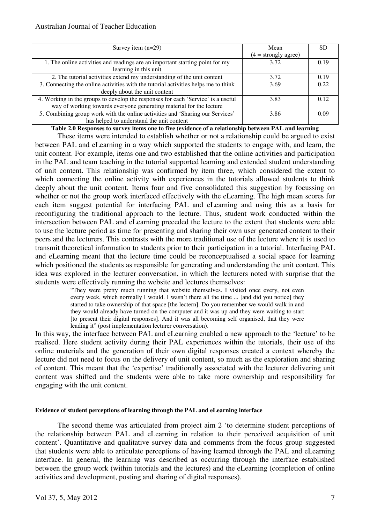| Survey item $(n=29)$                                                               | Mean                   | <b>SD</b> |
|------------------------------------------------------------------------------------|------------------------|-----------|
|                                                                                    | $(4 = strongly agree)$ |           |
| 1. The online activities and readings are an important starting point for my       | 3.72                   | 0.19      |
| learning in this unit                                                              |                        |           |
| 2. The tutorial activities extend my understanding of the unit content             | 3.72                   | 0.19      |
| 3. Connecting the online activities with the tutorial activities helps me to think | 3.69                   | 0.22.     |
| deeply about the unit content                                                      |                        |           |
| 4. Working in the groups to develop the responses for each 'Service' is a useful   | 3.83                   | 0.12      |
| way of working towards everyone generating material for the lecture                |                        |           |
| 5. Combining group work with the online activities and 'Sharing our Services'      | 3.86                   | 0.09      |
| has helped to understand the unit content                                          |                        |           |

**Table 2.0 Responses to survey items one to five (evidence of a relationship between PAL and learning** 

These items were intended to establish whether or not a relationship could be argued to exist between PAL and eLearning in a way which supported the students to engage with, and learn, the unit content. For example, items one and two established that the online activities and participation in the PAL and team teaching in the tutorial supported learning and extended student understanding of unit content. This relationship was confirmed by item three, which considered the extent to which connecting the online activity with experiences in the tutorials allowed students to think deeply about the unit content. Items four and five consolidated this suggestion by focussing on whether or not the group work interfaced effectively with the eLearning. The high mean scores for each item suggest potential for interfacing PAL and eLearning and using this as a basis for reconfiguring the traditional approach to the lecture. Thus, student work conducted within the intersection between PAL and eLearning preceded the lecture to the extent that students were able to use the lecture period as time for presenting and sharing their own user generated content to their peers and the lecturers. This contrasts with the more traditional use of the lecture where it is used to transmit theoretical information to students prior to their participation in a tutorial. Interfacing PAL and eLearning meant that the lecture time could be reconceptualised a social space for learning which positioned the students as responsible for generating and understanding the unit content. This idea was explored in the lecturer conversation, in which the lecturers noted with surprise that the students were effectively running the website and lectures themselves:

> "They were pretty much running that website themselves. I visited once every, not even every week, which normally I would. I wasn't there all the time ... [and did you notice] they started to take ownership of that space [the lectern]. Do you remember we would walk in and they would already have turned on the computer and it was up and they were waiting to start [to present their digital responses]. And it was all becoming self organised, that they were leading it" (post implementation lecturer conversation).

In this way, the interface between PAL and eLearning enabled a new approach to the 'lecture' to be realised. Here student activity during their PAL experiences within the tutorials, their use of the online materials and the generation of their own digital responses created a context whereby the lecture did not need to focus on the delivery of unit content, so much as the exploration and sharing of content. This meant that the 'expertise' traditionally associated with the lecturer delivering unit content was shifted and the students were able to take more ownership and responsibility for engaging with the unit content.

#### **Evidence of student perceptions of learning through the PAL and eLearning interface**

The second theme was articulated from project aim 2 'to determine student perceptions of the relationship between PAL and eLearning in relation to their perceived acquisition of unit content'. Quantitative and qualitative survey data and comments from the focus group suggested that students were able to articulate perceptions of having learned through the PAL and eLearning interface. In general, the learning was described as occurring through the interface established between the group work (within tutorials and the lectures) and the eLearning (completion of online activities and development, posting and sharing of digital responses).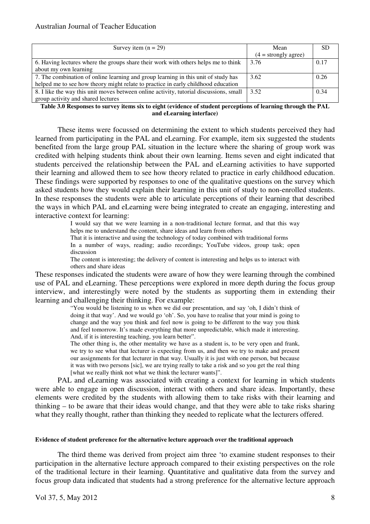| Survey item $(n = 29)$                                                                 | Mean                   | <b>SD</b> |
|----------------------------------------------------------------------------------------|------------------------|-----------|
|                                                                                        |                        |           |
|                                                                                        | $(4 = strongly agree)$ |           |
| 6. Having lectures where the groups share their work with others helps me to think     | 3.76                   | 0.17      |
| about my own learning                                                                  |                        |           |
| 7. The combination of online learning and group learning in this unit of study has     | 3.62                   | 0.26      |
| helped me to see how theory might relate to practice in early childhood education      |                        |           |
| 8. I like the way this unit moves between online activity, tutorial discussions, small | 3.52                   | 0.34      |
| group activity and shared lectures                                                     |                        |           |

**Table 3.0 Responses to survey items six to eight (evidence of student perceptions of learning through the PAL and eLearning interface)** 

These items were focussed on determining the extent to which students perceived they had learned from participating in the PAL and eLearning. For example, item six suggested the students benefited from the large group PAL situation in the lecture where the sharing of group work was credited with helping students think about their own learning. Items seven and eight indicated that students perceived the relationship between the PAL and eLearning activities to have supported their learning and allowed them to see how theory related to practice in early childhood education. These findings were supported by responses to one of the qualitative questions on the survey which asked students how they would explain their learning in this unit of study to non-enrolled students. In these responses the students were able to articulate perceptions of their learning that described the ways in which PAL and eLearning were being integrated to create an engaging, interesting and interactive context for learning:

> I would say that we were learning in a non-traditional lecture format, and that this way helps me to understand the content, share ideas and learn from others That it is interactive and using the technology of today combined with traditional forms

> In a number of ways, reading; audio recordings; YouTube videos, group task; open discussion

> The content is interesting; the delivery of content is interesting and helps us to interact with others and share ideas

These responses indicated the students were aware of how they were learning through the combined use of PAL and eLearning. These perceptions were explored in more depth during the focus group interview, and interestingly were noted by the students as supporting them in extending their learning and challenging their thinking. For example:

"You would be listening to us when we did our presentation, and say 'oh, I didn't think of doing it that way'. And we would go 'oh'. So, you have to realise that your mind is going to change and the way you think and feel now is going to be different to the way you think and feel tomorrow. It's made everything that more unpredictable, which made it interesting. And, if it is interesting teaching, you learn better".

The other thing is, the other mentality we have as a student is, to be very open and frank, we try to see what that lecturer is expecting from us, and then we try to make and present our assignments for that lecturer in that way. Usually it is just with one person, but because it was with two persons [sic], we are trying really to take a risk and so you get the real thing [what we really think not what we think the lecturer wants]".

PAL and eLearning was associated with creating a context for learning in which students were able to engage in open discussion, interact with others and share ideas. Importantly, these elements were credited by the students with allowing them to take risks with their learning and thinking – to be aware that their ideas would change, and that they were able to take risks sharing what they really thought, rather than thinking they needed to replicate what the lecturers offered.

## **Evidence of student preference for the alternative lecture approach over the traditional approach**

The third theme was derived from project aim three 'to examine student responses to their participation in the alternative lecture approach compared to their existing perspectives on the role of the traditional lecture in their learning. Quantitative and qualitative data from the survey and focus group data indicated that students had a strong preference for the alternative lecture approach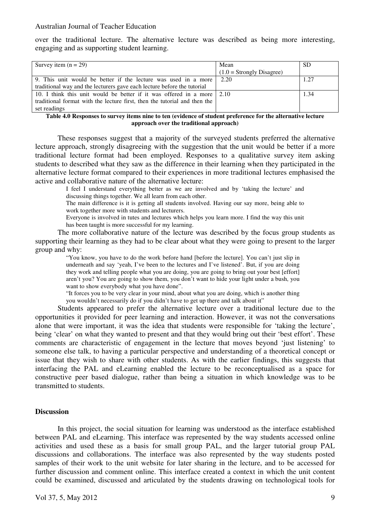over the traditional lecture. The alternative lecture was described as being more interesting, engaging and as supporting student learning.

| Survey item $(n = 29)$                                                         | Mean                        | <b>SD</b> |
|--------------------------------------------------------------------------------|-----------------------------|-----------|
|                                                                                | $(1.0 =$ Strongly Disagree) |           |
| 9. This unit would be better if the lecture was used in a more                 | 2.20                        | 1.27      |
| traditional way and the lecturers gave each lecture before the tutorial        |                             |           |
| 10. I think this unit would be better if it was offered in a more $\vert$ 2.10 |                             | 1.34      |
| traditional format with the lecture first, then the tutorial and then the      |                             |           |
| set readings                                                                   |                             |           |

**Table 4.0 Responses to survey items nine to ten (evidence of student preference for the alternative lecture approach over the traditional approach)** 

These responses suggest that a majority of the surveyed students preferred the alternative lecture approach, strongly disagreeing with the suggestion that the unit would be better if a more traditional lecture format had been employed. Responses to a qualitative survey item asking students to described what they saw as the difference in their learning when they participated in the alternative lecture format compared to their experiences in more traditional lectures emphasised the active and collaborative nature of the alternative lecture:

I feel I understand everything better as we are involved and by 'taking the lecture' and discussing things together. We all learn from each other.

The main difference is it is getting all students involved. Having our say more, being able to work together more with students and lecturers.

Everyone is involved in tutes and lectures which helps you learn more. I find the way this unit has been taught is more successful for my learning.

The more collaborative nature of the lecture was described by the focus group students as supporting their learning as they had to be clear about what they were going to present to the larger group and why:

> "You know, you have to do the work before hand [before the lecture]. You can't just slip in underneath and say 'yeah, I've been to the lectures and I've listened'. But, if you are doing they work and telling people what you are doing, you are going to bring out your best [effort] aren't you? You are going to show them, you don't want to hide your light under a bush, you want to show everybody what you have done".

> "It forces you to be very clear in your mind, about what you are doing, which is another thing you wouldn't necessarily do if you didn't have to get up there and talk about it"

Students appeared to prefer the alternative lecture over a traditional lecture due to the opportunities it provided for peer learning and interaction. However, it was not the conversations alone that were important, it was the idea that students were responsible for 'taking the lecture', being 'clear' on what they wanted to present and that they would bring out their 'best effort'. These comments are characteristic of engagement in the lecture that moves beyond 'just listening' to someone else talk, to having a particular perspective and understanding of a theoretical concept or issue that they wish to share with other students. As with the earlier findings, this suggests that interfacing the PAL and eLearning enabled the lecture to be reconceptualised as a space for constructive peer based dialogue, rather than being a situation in which knowledge was to be transmitted to students.

## **Discussion**

In this project, the social situation for learning was understood as the interface established between PAL and eLearning. This interface was represented by the way students accessed online activities and used these as a basis for small group PAL, and the larger tutorial group PAL discussions and collaborations. The interface was also represented by the way students posted samples of their work to the unit website for later sharing in the lecture, and to be accessed for further discussion and comment online. This interface created a context in which the unit content could be examined, discussed and articulated by the students drawing on technological tools for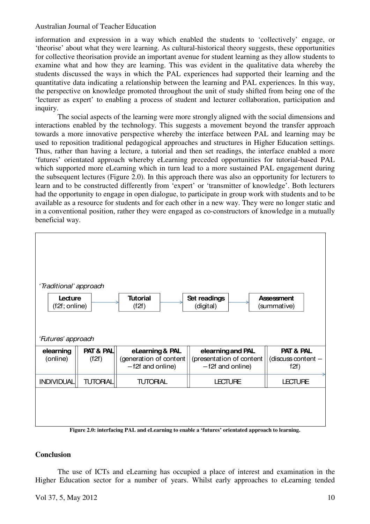information and expression in a way which enabled the students to 'collectively' engage, or 'theorise' about what they were learning. As cultural-historical theory suggests, these opportunities for collective theorisation provide an important avenue for student learning as they allow students to examine what and how they are learning. This was evident in the qualitative data whereby the students discussed the ways in which the PAL experiences had supported their learning and the quantitative data indicating a relationship between the learning and PAL experiences. In this way, the perspective on knowledge promoted throughout the unit of study shifted from being one of the 'lecturer as expert' to enabling a process of student and lecturer collaboration, participation and inquiry.

The social aspects of the learning were more strongly aligned with the social dimensions and interactions enabled by the technology. This suggests a movement beyond the transfer approach towards a more innovative perspective whereby the interface between PAL and learning may be used to reposition traditional pedagogical approaches and structures in Higher Education settings. Thus, rather than having a lecture, a tutorial and then set readings, the interface enabled a more 'futures' orientated approach whereby eLearning preceded opportunities for tutorial-based PAL which supported more eLearning which in turn lead to a more sustained PAL engagement during the subsequent lectures (Figure 2.0). In this approach there was also an opportunity for lecturers to learn and to be constructed differently from 'expert' or 'transmitter of knowledge'. Both lecturers had the opportunity to engage in open dialogue, to participate in group work with students and to be available as a resource for students and for each other in a new way. They were no longer static and in a conventional position, rather they were engaged as co-constructors of knowledge in a mutually beneficial way.



# **Conclusion**

The use of ICTs and eLearning has occupied a place of interest and examination in the Higher Education sector for a number of years. Whilst early approaches to eLearning tended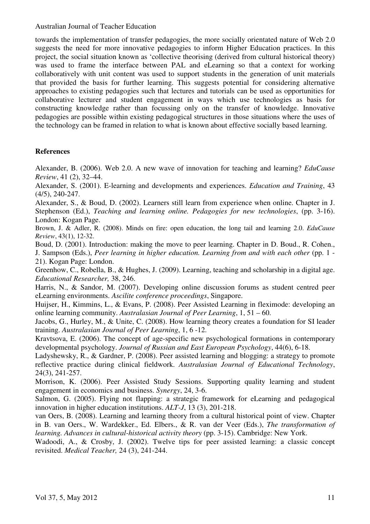towards the implementation of transfer pedagogies, the more socially orientated nature of Web 2.0 suggests the need for more innovative pedagogies to inform Higher Education practices. In this project, the social situation known as 'collective theorising (derived from cultural historical theory) was used to frame the interface between PAL and eLearning so that a context for working collaboratively with unit content was used to support students in the generation of unit materials that provided the basis for further learning. This suggests potential for considering alternative approaches to existing pedagogies such that lectures and tutorials can be used as opportunities for collaborative lecturer and student engagement in ways which use technologies as basis for constructing knowledge rather than focussing only on the transfer of knowledge. Innovative pedagogies are possible within existing pedagogical structures in those situations where the uses of the technology can be framed in relation to what is known about effective socially based learning.

# **References**

Alexander, B. (2006). Web 2.0. A new wave of innovation for teaching and learning? *EduCause Review*, 41 (2), 32–44.

Alexander, S. (2001). E-learning and developments and experiences. *Education and Training*, 43 (4/5), 240-247.

Alexander, S., & Boud, D. (2002). Learners still learn from experience when online. Chapter in J. Stephenson (Ed.), *Teaching and learning online. Pedagogies for new technologies*, (pp. 3-16). London: Kogan Page.

Brown, J. & Adler, R. (2008). Minds on fire: open education, the long tail and learning 2.0. *EduCause Review*, 43(1), 12-32.

Boud, D. (2001). Introduction: making the move to peer learning. Chapter in D. Boud., R. Cohen., J. Sampson (Eds.), *Peer learning in higher education. Learning from and with each other* (pp. 1 - 21). Kogan Page: London.

Greenhow, C., Robella, B., & Hughes, J. (2009). Learning, teaching and scholarship in a digital age. *Educational Researcher,* 38, 246.

Harris, N., & Sandor, M. (2007). Developing online discussion forums as student centred peer eLearning environments. *Ascilite conference proceedings*, Singapore.

Huijser, H., Kimmins, L., & Evans, P. (2008). Peer Assisted Learning in fleximode: developing an online learning community. *Australasian Journal of Peer Learning*, 1, 51 – 60.

Jacobs, G., Hurley, M., & Unite, C. (2008). How learning theory creates a foundation for SI leader training. *Australasian Journal of Peer Learning*, 1, 6 -12.

Kravtsova, E. (2006). The concept of age-specific new psychological formations in contemporary developmental psychology. *Journal of Russian and East European Psychology*, 44(6), 6-18.

Ladyshewsky, R., & Gardner, P. (2008). Peer assisted learning and blogging: a strategy to promote reflective practice during clinical fieldwork. *Australasian Journal of Educational Technology*, 24(3), 241-257.

Morrison, K. (2006). Peer Assisted Study Sessions. Supporting quality learning and student engagement in economics and business. *Synergy*, 24, 3-6.

Salmon, G. (2005). Flying not flapping: a strategic framework for eLearning and pedagogical innovation in higher education institutions. *ALT-J*, 13 (3), 201-218.

van Oers, B. (2008). Learning and learning theory from a cultural historical point of view. Chapter in B. van Oers., W. Wardekker., Ed. Elbers., & R. van der Veer (Eds.), *The transformation of learning. Advances in cultural-historical activity theory (pp. 3-15). Cambridge: New York.* 

Wadoodi, A., & Crosby, J. (2002). Twelve tips for peer assisted learning: a classic concept revisited. *Medical Teacher,* 24 (3), 241-244.